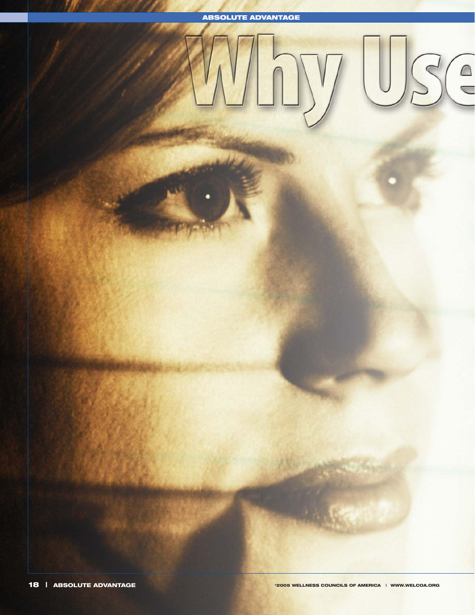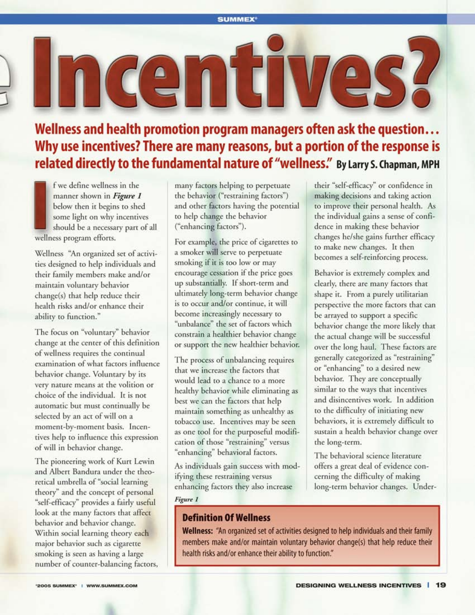Wellness and health promotion program managers often ask the question... Why use incentives? There are many reasons, but a portion of the response is related directly to the fundamental nature of "wellness." By Larry S. Chapman, MPH

f we define wellness in the manner shown in Figure 1 below then it begins to shed some light on why incentives should be a necessary part of all wellness program efforts.

Wellness "An organized set of activities designed to help individuals and their family members make and/or maintain voluntary behavior change(s) that help reduce their health risks and/or enhance their ability to function."

The focus on "voluntary" behavior change at the center of this definition of wellness requires the continual examination of what factors influence behavior change. Voluntary by its very nature means at the volition or choice of the individual. It is not automatic but must continually be selected by an act of will on a moment-by-moment basis. Incentives help to influence this expression of will in behavior change.

The pioneering work of Kurt Lewin and Albert Bandura under the theoretical umbrella of "social learning theory" and the concept of personal "self-efficacy" provides a fairly useful look at the many factors that affect behavior and behavior change. Within social learning theory each major behavior such as cigarette smoking is seen as having a large number of counter-balancing factors, many factors helping to perpetuate the behavior ("restraining factors") and other factors having the potential to help change the behavior ("enhancing factors").

For example, the price of cigarettes to a smoker will serve to perpetuate smoking if it is too low or may encourage cessation if the price goes up substantially. If short-term and ultimately long-term behavior change is to occur and/or continue, it will become increasingly necessary to "unbalance" the set of factors which constrain a healthier behavior change or support the new healthier behavior.

The process of unbalancing requires that we increase the factors that would lead to a chance to a more healthy behavior while eliminating as best we can the factors that help maintain something as unhealthy as tobacco use. Incentives may be seen as one tool for the purposeful modification of those "restraining" versus "enhancing" behavioral factors.

As individuals gain success with modifying these restraining versus enhancing factors they also increase

Figure 1

### **Definition Of Wellness**

their "self-efficacy" or confidence in making decisions and taking action to improve their personal health. As the individual gains a sense of confidence in making these behavior changes he/she gains further efficacy to make new changes. It then becomes a self-reinforcing process.

Behavior is extremely complex and clearly, there are many factors that shape it. From a purely utilitarian perspective the more factors that can be arrayed to support a specific behavior change the more likely that the actual change will be successful over the long haul. These factors are generally categorized as "restraining" or "enhancing" to a desired new behavior. They are conceptually similar to the ways that incentives and disincentives work. In addition to the difficulty of initiating new behaviors, it is extremely difficult to sustain a health behavior change over the long-term.

The behavioral science literature offers a great deal of evidence concerning the difficulty of making long-term behavior changes. Under-

Wellness: "An organized set of activities designed to help individuals and their family members make and/or maintain voluntary behavior change(s) that help reduce their health risks and/or enhance their ability to function."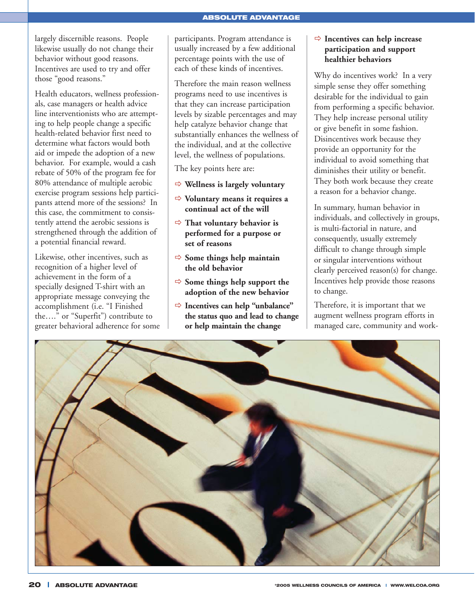#### **ABSOLUTE ADVANTAGE**

largely discernible reasons. People likewise usually do not change their behavior without good reasons. Incentives are used to try and offer those "good reasons."

Health educators, wellness professionals, case managers or health advice line interventionists who are attempting to help people change a specific health-related behavior first need to determine what factors would both aid or impede the adoption of a new behavior. For example, would a cash rebate of 50% of the program fee for 80% attendance of multiple aerobic exercise program sessions help participants attend more of the sessions? In this case, the commitment to consistently attend the aerobic sessions is strengthened through the addition of a potential financial reward.

Likewise, other incentives, such as recognition of a higher level of achievement in the form of a specially designed T-shirt with an appropriate message conveying the accomplishment (i.e. "I Finished the…." or "Superfit") contribute to greater behavioral adherence for some

participants. Program attendance is usually increased by a few additional percentage points with the use of each of these kinds of incentives.

Therefore the main reason wellness programs need to use incentives is that they can increase participation levels by sizable percentages and may help catalyze behavior change that substantially enhances the wellness of the individual, and at the collective level, the wellness of populations.

The key points here are:

- **Wellness is largely voluntary**
- **Voluntary means it requires a continual act of the will**
- **That voluntary behavior is performed for a purpose or set of reasons**
- $\Rightarrow$  Some things help maintain **the old behavior**
- $\Rightarrow$  Some things help support the **adoption of the new behavior**
- **Incentives can help "unbalance" the status quo and lead to change or help maintain the change**

#### **Incentives can help increase participation and support healthier behaviors**

Why do incentives work? In a very simple sense they offer something desirable for the individual to gain from performing a specific behavior. They help increase personal utility or give benefit in some fashion. Disincentives work because they provide an opportunity for the individual to avoid something that diminishes their utility or benefit. They both work because they create a reason for a behavior change.

In summary, human behavior in individuals, and collectively in groups, is multi-factorial in nature, and consequently, usually extremely difficult to change through simple or singular interventions without clearly perceived reason(s) for change. Incentives help provide those reasons to change.

Therefore, it is important that we augment wellness program efforts in managed care, community and work-

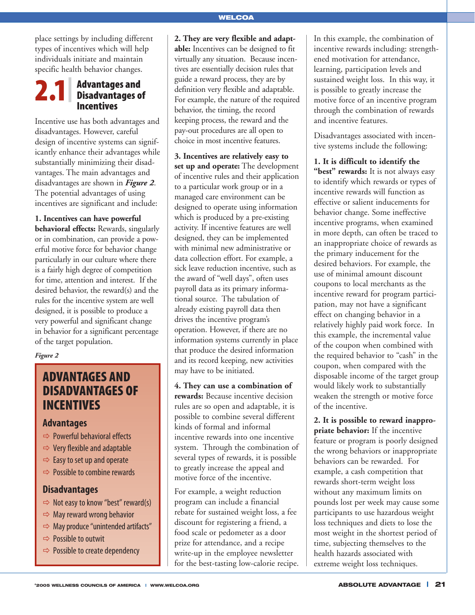place settings by including different types of incentives which will help individuals initiate and maintain specific health behavior changes.

#### *Advantages and Disadvantages of Incentives 2.1|*

Incentive use has both advantages and disadvantages. However, careful design of incentive systems can significantly enhance their advantages while substantially minimizing their disadvantages. The main advantages and disadvantages are shown in *Figure 2*. The potential advantages of using incentives are significant and include:

**1. Incentives can have powerful behavioral effects:** Rewards, singularly or in combination, can provide a powerful motive force for behavior change particularly in our culture where there is a fairly high degree of competition for time, attention and interest. If the desired behavior, the reward(s) and the rules for the incentive system are well designed, it is possible to produce a very powerful and significant change in behavior for a significant percentage of the target population.

*Figure 2*

## *ADVANTAGES AND DISADVANTAGES OF INCENTIVES*

### *Advantages*

- $\Rightarrow$  Powerful behavioral effects
- $\Rightarrow$  Very flexible and adaptable
- $\Rightarrow$  Easy to set up and operate
- $\Rightarrow$  Possible to combine rewards

## *Disadvantages*

- $\Rightarrow$  Not easy to know "best" reward(s)
- $\Rightarrow$  May reward wrong behavior
- $\Rightarrow$  May produce "unintended artifacts"
- $\Rightarrow$  Possible to outwit
- $\Rightarrow$  Possible to create dependency

**2. They are very flexible and adaptable:** Incentives can be designed to fit virtually any situation. Because incentives are essentially decision rules that guide a reward process, they are by definition very flexible and adaptable. For example, the nature of the required behavior, the timing, the record keeping process, the reward and the pay-out procedures are all open to choice in most incentive features.

**3. Incentives are relatively easy to set up and operate:** The development of incentive rules and their application to a particular work group or in a managed care environment can be designed to operate using information which is produced by a pre-existing activity. If incentive features are well designed, they can be implemented with minimal new administrative or data collection effort. For example, a sick leave reduction incentive, such as the award of "well days", often uses payroll data as its primary informational source. The tabulation of already existing payroll data then drives the incentive program's operation. However, if there are no information systems currently in place that produce the desired information and its record keeping, new activities may have to be initiated.

**4. They can use a combination of rewards:** Because incentive decision rules are so open and adaptable, it is possible to combine several different kinds of formal and informal incentive rewards into one incentive system. Through the combination of several types of rewards, it is possible to greatly increase the appeal and motive force of the incentive.

For example, a weight reduction program can include a financial rebate for sustained weight loss, a fee discount for registering a friend, a food scale or pedometer as a door prize for attendance, and a recipe write-up in the employee newsletter for the best-tasting low-calorie recipe.

In this example, the combination of incentive rewards including: strengthened motivation for attendance, learning, participation levels and sustained weight loss. In this way, it is possible to greatly increase the motive force of an incentive program through the combination of rewards and incentive features.

Disadvantages associated with incentive systems include the following:

**1. It is difficult to identify the** "best" rewards: It is not always easy to identify which rewards or types of incentive rewards will function as effective or salient inducements for behavior change. Some ineffective incentive programs, when examined in more depth, can often be traced to an inappropriate choice of rewards as the primary inducement for the desired behaviors. For example, the use of minimal amount discount coupons to local merchants as the incentive reward for program participation, may not have a significant effect on changing behavior in a relatively highly paid work force. In this example, the incremental value of the coupon when combined with the required behavior to "cash" in the coupon, when compared with the disposable income of the target group would likely work to substantially weaken the strength or motive force of the incentive.

**2. It is possible to reward inappropriate behavior:** If the incentive feature or program is poorly designed the wrong behaviors or inappropriate behaviors can be rewarded. For example, a cash competition that rewards short-term weight loss without any maximum limits on pounds lost per week may cause some participants to use hazardous weight loss techniques and diets to lose the most weight in the shortest period of time, subjecting themselves to the health hazards associated with extreme weight loss techniques.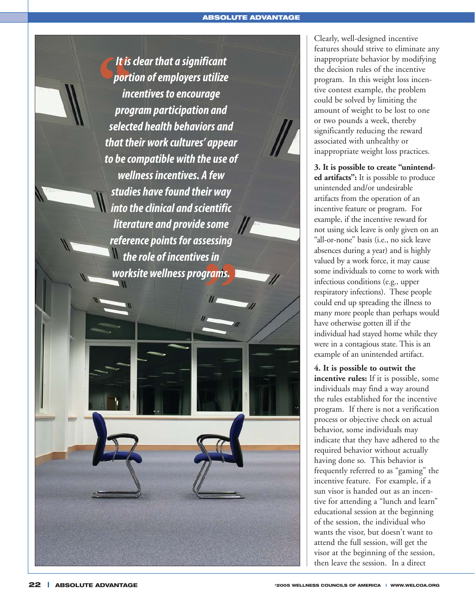*It is clear that a significant*  It is clear that a significant<br>
portion of employers utilize<br>
incentives to encourage<br>
program participation and<br>
selected health behaviors and *portion of employers utilize incentives to encourage program participation and that their work cultures' appear to be compatible with the use of wellness incentives. A few studies have found their way into the clinical and scientific*   $\|$ *literature and provide some reference points for assessing the role of incentives in*  **worksite wellness programs.**<br> **Exercise 2020** 

Clearly, well-designed incentive features should strive to eliminate any inappropriate behavior by modifying the decision rules of the incentive program. In this weight loss incentive contest example, the problem could be solved by limiting the amount of weight to be lost to one or two pounds a week, thereby significantly reducing the reward associated with unhealthy or inappropriate weight loss practices.

**3. It is possible to create "unintended artifacts":** It is possible to produce unintended and/or undesirable artifacts from the operation of an incentive feature or program. For example, if the incentive reward for not using sick leave is only given on an "all-or-none" basis (i.e., no sick leave absences during a year) and is highly valued by a work force, it may cause some individuals to come to work with infectious conditions (e.g., upper respiratory infections). These people could end up spreading the illness to many more people than perhaps would have otherwise gotten ill if the individual had stayed home while they were in a contagious state. This is an example of an unintended artifact.

**4. It is possible to outwit the incentive rules:** If it is possible, some individuals may find a way around the rules established for the incentive program. If there is not a verification process or objective check on actual behavior, some individuals may indicate that they have adhered to the required behavior without actually having done so. This behavior is frequently referred to as "gaming" the incentive feature. For example, if a sun visor is handed out as an incentive for attending a "lunch and learn" educational session at the beginning of the session, the individual who wants the visor, but doesn't want to attend the full session, will get the visor at the beginning of the session, then leave the session. In a direct